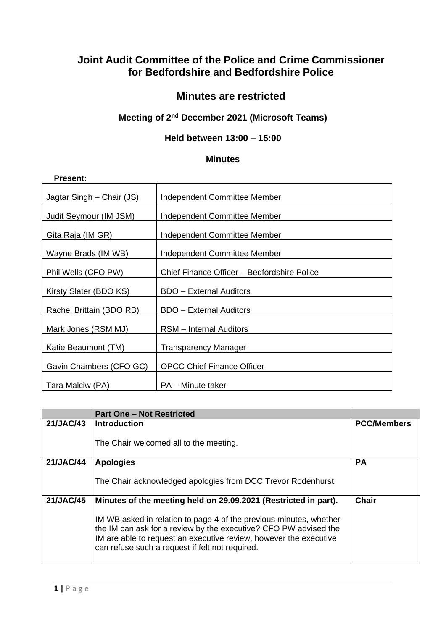# **Joint Audit Committee of the Police and Crime Commissioner for Bedfordshire and Bedfordshire Police**

## **Minutes are restricted**

### **Meeting of 2<sup>nd</sup> December 2021 (Microsoft Teams)**

#### **Held between 13:00 – 15:00**

#### **Minutes**

| <b>Present:</b>           |                                             |
|---------------------------|---------------------------------------------|
| Jagtar Singh – Chair (JS) | Independent Committee Member                |
| Judit Seymour (IM JSM)    | Independent Committee Member                |
| Gita Raja (IM GR)         | Independent Committee Member                |
| Wayne Brads (IM WB)       | Independent Committee Member                |
| Phil Wells (CFO PW)       | Chief Finance Officer - Bedfordshire Police |
| Kirsty Slater (BDO KS)    | <b>BDO</b> - External Auditors              |
| Rachel Brittain (BDO RB)  | <b>BDO</b> - External Auditors              |
| Mark Jones (RSM MJ)       | <b>RSM</b> - Internal Auditors              |
| Katie Beaumont (TM)       | <b>Transparency Manager</b>                 |
| Gavin Chambers (CFO GC)   | <b>OPCC Chief Finance Officer</b>           |
| Tara Malciw (PA)          | PA – Minute taker                           |

|                  | <b>Part One - Not Restricted</b>                                                                                                                                                                                                                                                                                                  |                    |
|------------------|-----------------------------------------------------------------------------------------------------------------------------------------------------------------------------------------------------------------------------------------------------------------------------------------------------------------------------------|--------------------|
| 21/JAC/43        | <b>Introduction</b>                                                                                                                                                                                                                                                                                                               | <b>PCC/Members</b> |
|                  | The Chair welcomed all to the meeting.                                                                                                                                                                                                                                                                                            |                    |
| <b>21/JAC/44</b> | <b>Apologies</b>                                                                                                                                                                                                                                                                                                                  | <b>PA</b>          |
|                  | The Chair acknowledged apologies from DCC Trevor Rodenhurst.                                                                                                                                                                                                                                                                      |                    |
| 21/JAC/45        | Minutes of the meeting held on 29.09.2021 (Restricted in part).<br>IM WB asked in relation to page 4 of the previous minutes, whether<br>the IM can ask for a review by the executive? CFO PW advised the<br>IM are able to request an executive review, however the executive<br>can refuse such a request if felt not required. | <b>Chair</b>       |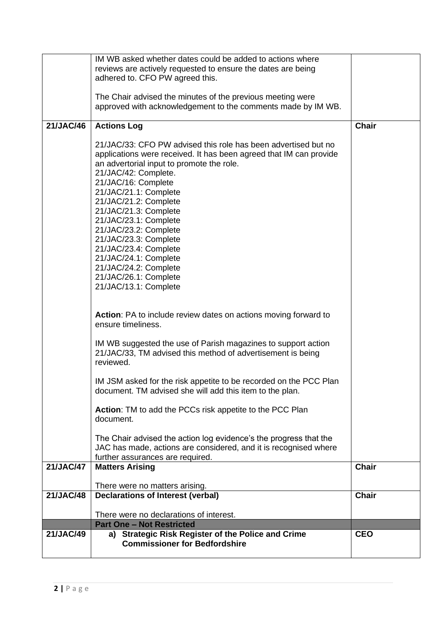|           | IM WB asked whether dates could be added to actions where<br>reviews are actively requested to ensure the dates are being<br>adhered to. CFO PW agreed this.                                                                                                                                                                                                                                                                                                                                                        |              |
|-----------|---------------------------------------------------------------------------------------------------------------------------------------------------------------------------------------------------------------------------------------------------------------------------------------------------------------------------------------------------------------------------------------------------------------------------------------------------------------------------------------------------------------------|--------------|
|           | The Chair advised the minutes of the previous meeting were<br>approved with acknowledgement to the comments made by IM WB.                                                                                                                                                                                                                                                                                                                                                                                          |              |
| 21/JAC/46 | <b>Actions Log</b>                                                                                                                                                                                                                                                                                                                                                                                                                                                                                                  | <b>Chair</b> |
|           | 21/JAC/33: CFO PW advised this role has been advertised but no<br>applications were received. It has been agreed that IM can provide<br>an advertorial input to promote the role.<br>21/JAC/42: Complete.<br>21/JAC/16: Complete<br>21/JAC/21.1: Complete<br>21/JAC/21.2: Complete<br>21/JAC/21.3: Complete<br>21/JAC/23.1: Complete<br>21/JAC/23.2: Complete<br>21/JAC/23.3: Complete<br>21/JAC/23.4: Complete<br>21/JAC/24.1: Complete<br>21/JAC/24.2: Complete<br>21/JAC/26.1: Complete<br>21/JAC/13.1: Complete |              |
|           | Action: PA to include review dates on actions moving forward to<br>ensure timeliness.                                                                                                                                                                                                                                                                                                                                                                                                                               |              |
|           | IM WB suggested the use of Parish magazines to support action<br>21/JAC/33, TM advised this method of advertisement is being<br>reviewed.                                                                                                                                                                                                                                                                                                                                                                           |              |
|           | IM JSM asked for the risk appetite to be recorded on the PCC Plan<br>document. TM advised she will add this item to the plan.                                                                                                                                                                                                                                                                                                                                                                                       |              |
|           | Action: TM to add the PCCs risk appetite to the PCC Plan<br>document.                                                                                                                                                                                                                                                                                                                                                                                                                                               |              |
|           | The Chair advised the action log evidence's the progress that the<br>JAC has made, actions are considered, and it is recognised where<br>further assurances are required.                                                                                                                                                                                                                                                                                                                                           |              |
| 21/JAC/47 | <b>Matters Arising</b>                                                                                                                                                                                                                                                                                                                                                                                                                                                                                              | <b>Chair</b> |
|           | There were no matters arising.                                                                                                                                                                                                                                                                                                                                                                                                                                                                                      |              |
| 21/JAC/48 | <b>Declarations of Interest (verbal)</b>                                                                                                                                                                                                                                                                                                                                                                                                                                                                            | <b>Chair</b> |
|           | There were no declarations of interest.                                                                                                                                                                                                                                                                                                                                                                                                                                                                             |              |
|           | <b>Part One - Not Restricted</b>                                                                                                                                                                                                                                                                                                                                                                                                                                                                                    |              |
| 21/JAC/49 | a) Strategic Risk Register of the Police and Crime<br><b>Commissioner for Bedfordshire</b>                                                                                                                                                                                                                                                                                                                                                                                                                          | <b>CEO</b>   |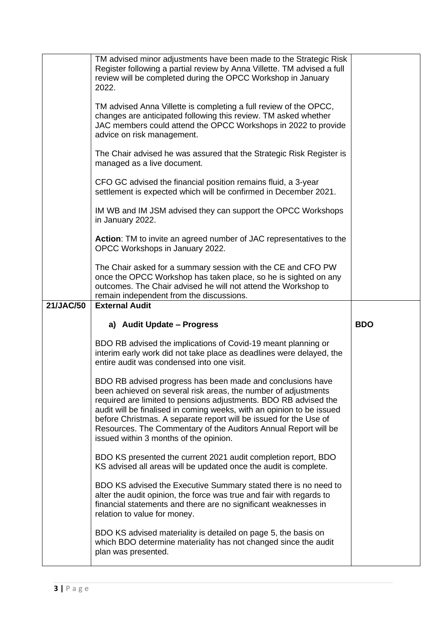| <b>21/JAC/50</b> | TM advised minor adjustments have been made to the Strategic Risk<br>Register following a partial review by Anna Villette. TM advised a full<br>review will be completed during the OPCC Workshop in January<br>2022.<br>TM advised Anna Villette is completing a full review of the OPCC,<br>changes are anticipated following this review. TM asked whether<br>JAC members could attend the OPCC Workshops in 2022 to provide<br>advice on risk management.<br>The Chair advised he was assured that the Strategic Risk Register is<br>managed as a live document.<br>CFO GC advised the financial position remains fluid, a 3-year<br>settlement is expected which will be confirmed in December 2021.<br>IM WB and IM JSM advised they can support the OPCC Workshops<br>in January 2022.<br>Action: TM to invite an agreed number of JAC representatives to the<br>OPCC Workshops in January 2022.<br>The Chair asked for a summary session with the CE and CFO PW<br>once the OPCC Workshop has taken place, so he is sighted on any<br>outcomes. The Chair advised he will not attend the Workshop to<br>remain independent from the discussions.<br><b>External Audit</b> |            |
|------------------|-----------------------------------------------------------------------------------------------------------------------------------------------------------------------------------------------------------------------------------------------------------------------------------------------------------------------------------------------------------------------------------------------------------------------------------------------------------------------------------------------------------------------------------------------------------------------------------------------------------------------------------------------------------------------------------------------------------------------------------------------------------------------------------------------------------------------------------------------------------------------------------------------------------------------------------------------------------------------------------------------------------------------------------------------------------------------------------------------------------------------------------------------------------------------------------|------------|
|                  |                                                                                                                                                                                                                                                                                                                                                                                                                                                                                                                                                                                                                                                                                                                                                                                                                                                                                                                                                                                                                                                                                                                                                                                   |            |
|                  |                                                                                                                                                                                                                                                                                                                                                                                                                                                                                                                                                                                                                                                                                                                                                                                                                                                                                                                                                                                                                                                                                                                                                                                   |            |
|                  | a) Audit Update - Progress                                                                                                                                                                                                                                                                                                                                                                                                                                                                                                                                                                                                                                                                                                                                                                                                                                                                                                                                                                                                                                                                                                                                                        | <b>BDO</b> |
|                  | BDO RB advised the implications of Covid-19 meant planning or<br>interim early work did not take place as deadlines were delayed, the<br>entire audit was condensed into one visit.                                                                                                                                                                                                                                                                                                                                                                                                                                                                                                                                                                                                                                                                                                                                                                                                                                                                                                                                                                                               |            |
|                  | BDO RB advised progress has been made and conclusions have<br>been achieved on several risk areas, the number of adjustments<br>required are limited to pensions adjustments. BDO RB advised the<br>audit will be finalised in coming weeks, with an opinion to be issued<br>before Christmas. A separate report will be issued for the Use of<br>Resources. The Commentary of the Auditors Annual Report will be<br>issued within 3 months of the opinion.                                                                                                                                                                                                                                                                                                                                                                                                                                                                                                                                                                                                                                                                                                                       |            |
|                  | BDO KS presented the current 2021 audit completion report, BDO<br>KS advised all areas will be updated once the audit is complete.                                                                                                                                                                                                                                                                                                                                                                                                                                                                                                                                                                                                                                                                                                                                                                                                                                                                                                                                                                                                                                                |            |
|                  | BDO KS advised the Executive Summary stated there is no need to<br>alter the audit opinion, the force was true and fair with regards to<br>financial statements and there are no significant weaknesses in<br>relation to value for money.                                                                                                                                                                                                                                                                                                                                                                                                                                                                                                                                                                                                                                                                                                                                                                                                                                                                                                                                        |            |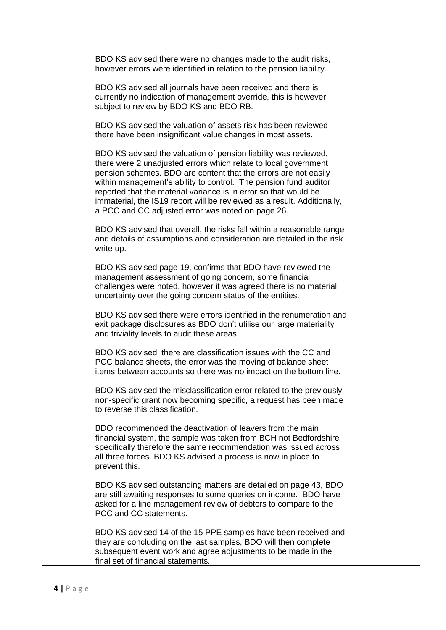| BDO KS advised there were no changes made to the audit risks,                                                                                                                                                                                                                                                                                                                                                                                                                 |  |
|-------------------------------------------------------------------------------------------------------------------------------------------------------------------------------------------------------------------------------------------------------------------------------------------------------------------------------------------------------------------------------------------------------------------------------------------------------------------------------|--|
| however errors were identified in relation to the pension liability.                                                                                                                                                                                                                                                                                                                                                                                                          |  |
| BDO KS advised all journals have been received and there is<br>currently no indication of management override, this is however<br>subject to review by BDO KS and BDO RB.                                                                                                                                                                                                                                                                                                     |  |
| BDO KS advised the valuation of assets risk has been reviewed<br>there have been insignificant value changes in most assets.                                                                                                                                                                                                                                                                                                                                                  |  |
| BDO KS advised the valuation of pension liability was reviewed,<br>there were 2 unadjusted errors which relate to local government<br>pension schemes. BDO are content that the errors are not easily<br>within management's ability to control. The pension fund auditor<br>reported that the material variance is in error so that would be<br>immaterial, the IS19 report will be reviewed as a result. Additionally,<br>a PCC and CC adjusted error was noted on page 26. |  |
| BDO KS advised that overall, the risks fall within a reasonable range<br>and details of assumptions and consideration are detailed in the risk<br>write up.                                                                                                                                                                                                                                                                                                                   |  |
| BDO KS advised page 19, confirms that BDO have reviewed the<br>management assessment of going concern, some financial<br>challenges were noted, however it was agreed there is no material<br>uncertainty over the going concern status of the entities.                                                                                                                                                                                                                      |  |
| BDO KS advised there were errors identified in the renumeration and<br>exit package disclosures as BDO don't utilise our large materiality<br>and triviality levels to audit these areas.                                                                                                                                                                                                                                                                                     |  |
| BDO KS advised, there are classification issues with the CC and<br>PCC balance sheets, the error was the moving of balance sheet<br>items between accounts so there was no impact on the bottom line.                                                                                                                                                                                                                                                                         |  |
| BDO KS advised the misclassification error related to the previously<br>non-specific grant now becoming specific, a request has been made<br>to reverse this classification.                                                                                                                                                                                                                                                                                                  |  |
| BDO recommended the deactivation of leavers from the main<br>financial system, the sample was taken from BCH not Bedfordshire<br>specifically therefore the same recommendation was issued across<br>all three forces. BDO KS advised a process is now in place to<br>prevent this.                                                                                                                                                                                           |  |
| BDO KS advised outstanding matters are detailed on page 43, BDO<br>are still awaiting responses to some queries on income. BDO have<br>asked for a line management review of debtors to compare to the<br>PCC and CC statements.                                                                                                                                                                                                                                              |  |
| BDO KS advised 14 of the 15 PPE samples have been received and<br>they are concluding on the last samples, BDO will then complete<br>subsequent event work and agree adjustments to be made in the<br>final set of financial statements.                                                                                                                                                                                                                                      |  |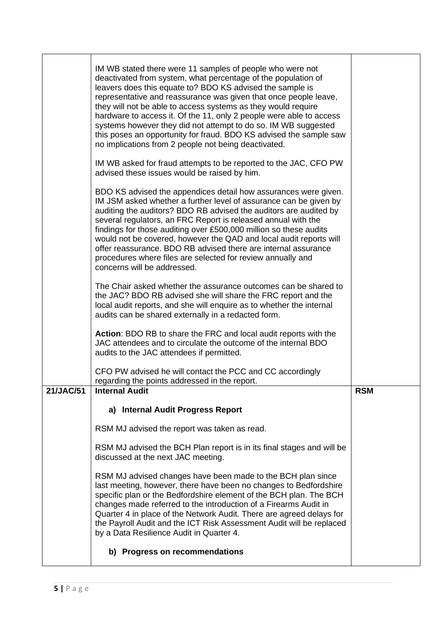|           | IM WB stated there were 11 samples of people who were not<br>deactivated from system, what percentage of the population of<br>leavers does this equate to? BDO KS advised the sample is<br>representative and reassurance was given that once people leave,<br>they will not be able to access systems as they would require<br>hardware to access it. Of the 11, only 2 people were able to access<br>systems however they did not attempt to do so. IM WB suggested<br>this poses an opportunity for fraud. BDO KS advised the sample saw<br>no implications from 2 people not being deactivated. |            |
|-----------|-----------------------------------------------------------------------------------------------------------------------------------------------------------------------------------------------------------------------------------------------------------------------------------------------------------------------------------------------------------------------------------------------------------------------------------------------------------------------------------------------------------------------------------------------------------------------------------------------------|------------|
|           | IM WB asked for fraud attempts to be reported to the JAC, CFO PW<br>advised these issues would be raised by him.                                                                                                                                                                                                                                                                                                                                                                                                                                                                                    |            |
|           | BDO KS advised the appendices detail how assurances were given.<br>IM JSM asked whether a further level of assurance can be given by<br>auditing the auditors? BDO RB advised the auditors are audited by<br>several regulators, an FRC Report is released annual with the<br>findings for those auditing over £500,000 million so these audits<br>would not be covered, however the QAD and local audit reports will<br>offer reassurance. BDO RB advised there are internal assurance<br>procedures where files are selected for review annually and<br>concerns will be addressed.               |            |
|           | The Chair asked whether the assurance outcomes can be shared to<br>the JAC? BDO RB advised she will share the FRC report and the<br>local audit reports, and she will enquire as to whether the internal<br>audits can be shared externally in a redacted form.                                                                                                                                                                                                                                                                                                                                     |            |
|           | Action: BDO RB to share the FRC and local audit reports with the<br>JAC attendees and to circulate the outcome of the internal BDO<br>audits to the JAC attendees if permitted.                                                                                                                                                                                                                                                                                                                                                                                                                     |            |
|           | CFO PW advised he will contact the PCC and CC accordingly<br>regarding the points addressed in the report.                                                                                                                                                                                                                                                                                                                                                                                                                                                                                          |            |
| 21/JAC/51 | <b>Internal Audit</b>                                                                                                                                                                                                                                                                                                                                                                                                                                                                                                                                                                               | <b>RSM</b> |
|           | a) Internal Audit Progress Report                                                                                                                                                                                                                                                                                                                                                                                                                                                                                                                                                                   |            |
|           | RSM MJ advised the report was taken as read.                                                                                                                                                                                                                                                                                                                                                                                                                                                                                                                                                        |            |
|           | RSM MJ advised the BCH Plan report is in its final stages and will be<br>discussed at the next JAC meeting.                                                                                                                                                                                                                                                                                                                                                                                                                                                                                         |            |
|           | RSM MJ advised changes have been made to the BCH plan since<br>last meeting, however, there have been no changes to Bedfordshire<br>specific plan or the Bedfordshire element of the BCH plan. The BCH<br>changes made referred to the introduction of a Firearms Audit in<br>Quarter 4 in place of the Network Audit. There are agreed delays for<br>the Payroll Audit and the ICT Risk Assessment Audit will be replaced<br>by a Data Resilience Audit in Quarter 4.                                                                                                                              |            |
|           | b) Progress on recommendations                                                                                                                                                                                                                                                                                                                                                                                                                                                                                                                                                                      |            |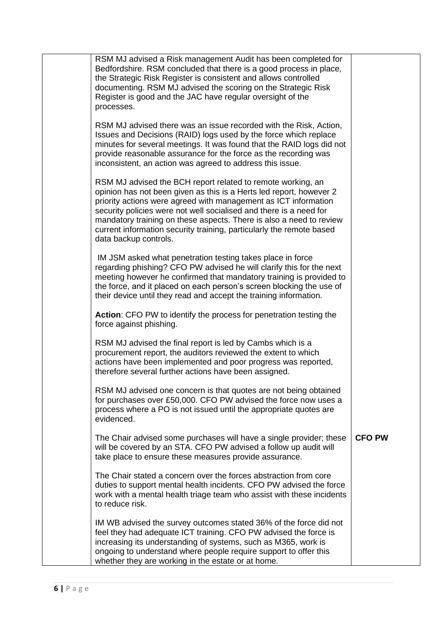| RSM MJ advised a Risk management Audit has been completed for<br>Bedfordshire. RSM concluded that there is a good process in place,<br>the Strategic Risk Register is consistent and allows controlled<br>documenting. RSM MJ advised the scoring on the Strategic Risk<br>Register is good and the JAC have regular oversight of the<br>processes.                                                                                                 |               |
|-----------------------------------------------------------------------------------------------------------------------------------------------------------------------------------------------------------------------------------------------------------------------------------------------------------------------------------------------------------------------------------------------------------------------------------------------------|---------------|
| RSM MJ advised there was an issue recorded with the Risk, Action,<br>Issues and Decisions (RAID) logs used by the force which replace<br>minutes for several meetings. It was found that the RAID logs did not<br>provide reasonable assurance for the force as the recording was<br>inconsistent, an action was agreed to address this issue.                                                                                                      |               |
| RSM MJ advised the BCH report related to remote working, an<br>opinion has not been given as this is a Herts led report, however 2<br>priority actions were agreed with management as ICT information<br>security policies were not well socialised and there is a need for<br>mandatory training on these aspects. There is also a need to review<br>current information security training, particularly the remote based<br>data backup controls. |               |
| IM JSM asked what penetration testing takes place in force<br>regarding phishing? CFO PW advised he will clarify this for the next<br>meeting however he confirmed that mandatory training is provided to<br>the force, and it placed on each person's screen blocking the use of<br>their device until they read and accept the training information.                                                                                              |               |
| <b>Action:</b> CFO PW to identify the process for penetration testing the<br>force against phishing.                                                                                                                                                                                                                                                                                                                                                |               |
| RSM MJ advised the final report is led by Cambs which is a<br>procurement report, the auditors reviewed the extent to which<br>actions have been implemented and poor progress was reported,<br>therefore several further actions have been assigned.                                                                                                                                                                                               |               |
| RSM MJ advised one concern is that quotes are not being obtained<br>for purchases over £50,000. CFO PW advised the force now uses a<br>process where a PO is not issued until the appropriate quotes are<br>evidenced.                                                                                                                                                                                                                              |               |
| The Chair advised some purchases will have a single provider; these<br>will be covered by an STA. CFO PW advised a follow up audit will<br>take place to ensure these measures provide assurance.                                                                                                                                                                                                                                                   | <b>CFO PW</b> |
| The Chair stated a concern over the forces abstraction from core<br>duties to support mental health incidents. CFO PW advised the force<br>work with a mental health triage team who assist with these incidents<br>to reduce risk.                                                                                                                                                                                                                 |               |
| IM WB advised the survey outcomes stated 36% of the force did not<br>feel they had adequate ICT training. CFO PW advised the force is<br>increasing its understanding of systems, such as M365, work is<br>ongoing to understand where people require support to offer this<br>whether they are working in the estate or at home.                                                                                                                   |               |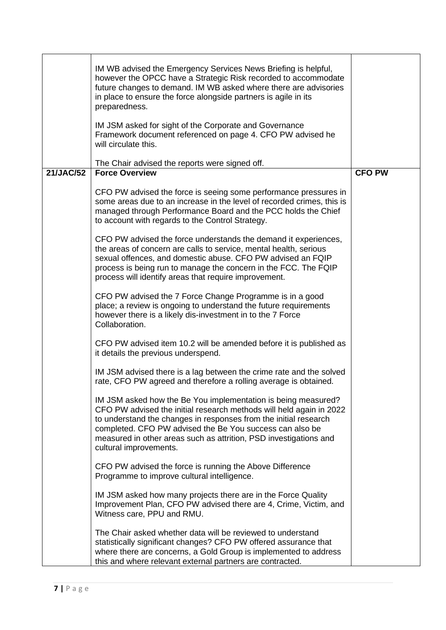|           | IM WB advised the Emergency Services News Briefing is helpful,<br>however the OPCC have a Strategic Risk recorded to accommodate<br>future changes to demand. IM WB asked where there are advisories<br>in place to ensure the force alongside partners is agile in its<br>preparedness.<br>IM JSM asked for sight of the Corporate and Governance<br>Framework document referenced on page 4. CFO PW advised he<br>will circulate this. |               |
|-----------|------------------------------------------------------------------------------------------------------------------------------------------------------------------------------------------------------------------------------------------------------------------------------------------------------------------------------------------------------------------------------------------------------------------------------------------|---------------|
|           | The Chair advised the reports were signed off.                                                                                                                                                                                                                                                                                                                                                                                           |               |
| 21/JAC/52 | <b>Force Overview</b>                                                                                                                                                                                                                                                                                                                                                                                                                    | <b>CFO PW</b> |
|           | CFO PW advised the force is seeing some performance pressures in<br>some areas due to an increase in the level of recorded crimes, this is<br>managed through Performance Board and the PCC holds the Chief<br>to account with regards to the Control Strategy.                                                                                                                                                                          |               |
|           | CFO PW advised the force understands the demand it experiences,<br>the areas of concern are calls to service, mental health, serious<br>sexual offences, and domestic abuse. CFO PW advised an FQIP<br>process is being run to manage the concern in the FCC. The FQIP<br>process will identify areas that require improvement.                                                                                                          |               |
|           | CFO PW advised the 7 Force Change Programme is in a good<br>place; a review is ongoing to understand the future requirements<br>however there is a likely dis-investment in to the 7 Force<br>Collaboration.                                                                                                                                                                                                                             |               |
|           | CFO PW advised item 10.2 will be amended before it is published as<br>it details the previous underspend.                                                                                                                                                                                                                                                                                                                                |               |
|           | IM JSM advised there is a lag between the crime rate and the solved<br>rate, CFO PW agreed and therefore a rolling average is obtained.                                                                                                                                                                                                                                                                                                  |               |
|           | IM JSM asked how the Be You implementation is being measured?<br>CFO PW advised the initial research methods will held again in 2022<br>to understand the changes in responses from the initial research<br>completed. CFO PW advised the Be You success can also be<br>measured in other areas such as attrition, PSD investigations and<br>cultural improvements.                                                                      |               |
|           | CFO PW advised the force is running the Above Difference<br>Programme to improve cultural intelligence.                                                                                                                                                                                                                                                                                                                                  |               |
|           | IM JSM asked how many projects there are in the Force Quality<br>Improvement Plan, CFO PW advised there are 4, Crime, Victim, and<br>Witness care, PPU and RMU.                                                                                                                                                                                                                                                                          |               |
|           | The Chair asked whether data will be reviewed to understand<br>statistically significant changes? CFO PW offered assurance that<br>where there are concerns, a Gold Group is implemented to address<br>this and where relevant external partners are contracted.                                                                                                                                                                         |               |